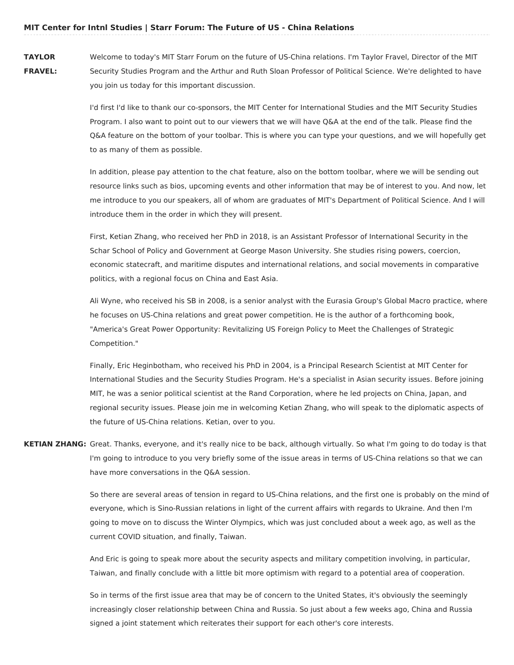**TAYLOR FRAVEL:** Welcome to today's MIT Starr Forum on the future of US-China relations. I'm Taylor Fravel, Director of the MIT Security Studies Program and the Arthur and Ruth Sloan Professor of Political Science. We're delighted to have you join us today for this important discussion.

> I'd first I'd like to thank our co-sponsors, the MIT Center for International Studies and the MIT Security Studies Program. I also want to point out to our viewers that we will have Q&A at the end of the talk. Please find the Q&A feature on the bottom of your toolbar. This is where you can type your questions, and we will hopefully get to as many of them as possible.

> In addition, please pay attention to the chat feature, also on the bottom toolbar, where we will be sending out resource links such as bios, upcoming events and other information that may be of interest to you. And now, let me introduce to you our speakers, all of whom are graduates of MIT's Department of Political Science. And I will introduce them in the order in which they will present.

First, Ketian Zhang, who received her PhD in 2018, is an Assistant Professor of International Security in the Schar School of Policy and Government at George Mason University. She studies rising powers, coercion, economic statecraft, and maritime disputes and international relations, and social movements in comparative politics, with a regional focus on China and East Asia.

Ali Wyne, who received his SB in 2008, is a senior analyst with the Eurasia Group's Global Macro practice, where he focuses on US-China relations and great power competition. He is the author of a forthcoming book, "America's Great Power Opportunity: Revitalizing US Foreign Policy to Meet the Challenges of Strategic Competition."

Finally, Eric Heginbotham, who received his PhD in 2004, is a Principal Research Scientist at MIT Center for International Studies and the Security Studies Program. He's a specialist in Asian security issues. Before joining MIT, he was a senior political scientist at the Rand Corporation, where he led projects on China, Japan, and regional security issues. Please join me in welcoming Ketian Zhang, who will speak to the diplomatic aspects of the future of US-China relations. Ketian, over to you.

**KETIAN ZHANG:** Great. Thanks, everyone, and it's really nice to be back, although virtually. So what I'm going to do today is that I'm going to introduce to you very briefly some of the issue areas in terms of US-China relations so that we can have more conversations in the Q&A session.

> So there are several areas of tension in regard to US-China relations, and the first one is probably on the mind of everyone, which is Sino-Russian relations in light of the current affairs with regards to Ukraine. And then I'm going to move on to discuss the Winter Olympics, which was just concluded about a week ago, as well as the current COVID situation, and finally, Taiwan.

And Eric is going to speak more about the security aspects and military competition involving, in particular, Taiwan, and finally conclude with a little bit more optimism with regard to a potential area of cooperation.

So in terms of the first issue area that may be of concern to the United States, it's obviously the seemingly increasingly closer relationship between China and Russia. So just about a few weeks ago, China and Russia signed a joint statement which reiterates their support for each other's core interests.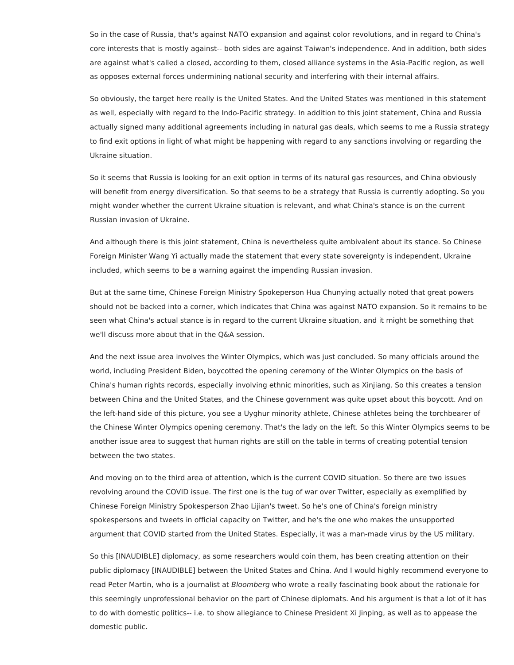So in the case of Russia, that's against NATO expansion and against color revolutions, and in regard to China's core interests that is mostly against-- both sides are against Taiwan's independence. And in addition, both sides are against what's called a closed, according to them, closed alliance systems in the Asia-Pacific region, as well as opposes external forces undermining national security and interfering with their internal affairs.

So obviously, the target here really is the United States. And the United States was mentioned in this statement as well, especially with regard to the Indo-Pacific strategy. In addition to this joint statement, China and Russia actually signed many additional agreements including in natural gas deals, which seems to me a Russia strategy to find exit options in light of what might be happening with regard to any sanctions involving or regarding the Ukraine situation.

So it seems that Russia is looking for an exit option in terms of its natural gas resources, and China obviously will benefit from energy diversification. So that seems to be a strategy that Russia is currently adopting. So you might wonder whether the current Ukraine situation is relevant, and what China's stance is on the current Russian invasion of Ukraine.

And although there is this joint statement, China is nevertheless quite ambivalent about its stance. So Chinese Foreign Minister Wang Yi actually made the statement that every state sovereignty is independent, Ukraine included, which seems to be a warning against the impending Russian invasion.

But at the same time, Chinese Foreign Ministry Spokeperson Hua Chunying actually noted that great powers should not be backed into a corner, which indicates that China was against NATO expansion. So it remains to be seen what China's actual stance is in regard to the current Ukraine situation, and it might be something that we'll discuss more about that in the Q&A session.

And the next issue area involves the Winter Olympics, which was just concluded. So many officials around the world, including President Biden, boycotted the opening ceremony of the Winter Olympics on the basis of China's human rights records, especially involving ethnic minorities, such as Xinjiang. So this creates a tension between China and the United States, and the Chinese government was quite upset about this boycott. And on the left-hand side of this picture, you see a Uyghur minority athlete, Chinese athletes being the torchbearer of the Chinese Winter Olympics opening ceremony. That's the lady on the left. So this Winter Olympics seems to be another issue area to suggest that human rights are still on the table in terms of creating potential tension between the two states.

And moving on to the third area of attention, which is the current COVID situation. So there are two issues revolving around the COVID issue. The first one is the tug of war over Twitter, especially as exemplified by Chinese Foreign Ministry Spokesperson Zhao Lijian's tweet. So he's one of China's foreign ministry spokespersons and tweets in official capacity on Twitter, and he's the one who makes the unsupported argument that COVID started from the United States. Especially, it was a man-made virus by the US military.

So this [INAUDIBLE] diplomacy, as some researchers would coin them, has been creating attention on their public diplomacy [INAUDIBLE] between the United States and China. And I would highly recommend everyone to read Peter Martin, who is a journalist at Bloomberg who wrote a really fascinating book about the rationale for this seemingly unprofessional behavior on the part of Chinese diplomats. And his argument is that a lot of it has to do with domestic politics-- i.e. to show allegiance to Chinese President Xi Jinping, as well as to appease the domestic public.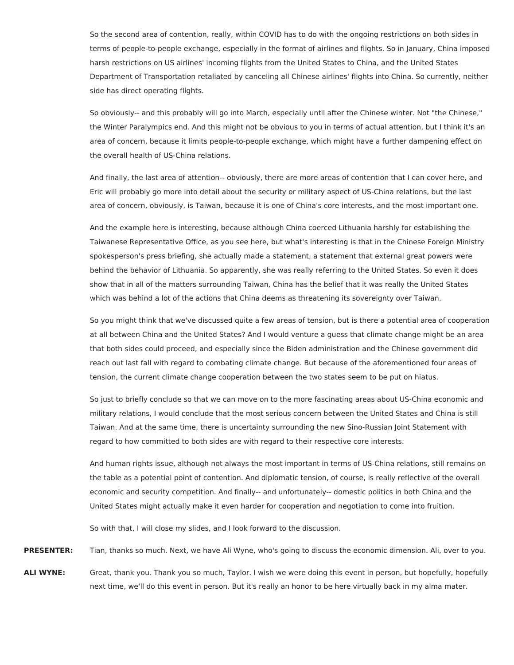So the second area of contention, really, within COVID has to do with the ongoing restrictions on both sides in terms of people-to-people exchange, especially in the format of airlines and flights. So in January, China imposed harsh restrictions on US airlines' incoming flights from the United States to China, and the United States Department of Transportation retaliated by canceling all Chinese airlines' flights into China. So currently, neither side has direct operating flights.

So obviously-- and this probably will go into March, especially until after the Chinese winter. Not "the Chinese," the Winter Paralympics end. And this might not be obvious to you in terms of actual attention, but I think it's an area of concern, because it limits people-to-people exchange, which might have a further dampening effect on the overall health of US-China relations.

And finally, the last area of attention-- obviously, there are more areas of contention that I can cover here, and Eric will probably go more into detail about the security or military aspect of US-China relations, but the last area of concern, obviously, is Taiwan, because it is one of China's core interests, and the most important one.

And the example here is interesting, because although China coerced Lithuania harshly for establishing the Taiwanese Representative Office, as you see here, but what's interesting is that in the Chinese Foreign Ministry spokesperson's press briefing, she actually made a statement, a statement that external great powers were behind the behavior of Lithuania. So apparently, she was really referring to the United States. So even it does show that in all of the matters surrounding Taiwan, China has the belief that it was really the United States which was behind a lot of the actions that China deems as threatening its sovereignty over Taiwan.

So you might think that we've discussed quite a few areas of tension, but is there a potential area of cooperation at all between China and the United States? And I would venture a guess that climate change might be an area that both sides could proceed, and especially since the Biden administration and the Chinese government did reach out last fall with regard to combating climate change. But because of the aforementioned four areas of tension, the current climate change cooperation between the two states seem to be put on hiatus.

So just to briefly conclude so that we can move on to the more fascinating areas about US-China economic and military relations, I would conclude that the most serious concern between the United States and China is still Taiwan. And at the same time, there is uncertainty surrounding the new Sino-Russian Joint Statement with regard to how committed to both sides are with regard to their respective core interests.

And human rights issue, although not always the most important in terms of US-China relations, still remains on the table as a potential point of contention. And diplomatic tension, of course, is really reflective of the overall economic and security competition. And finally-- and unfortunately-- domestic politics in both China and the United States might actually make it even harder for cooperation and negotiation to come into fruition.

So with that, I will close my slides, and I look forward to the discussion.

**PRESENTER:** Tian, thanks so much. Next, we have Ali Wyne, who's going to discuss the economic dimension. Ali, over to you.

**ALI WYNE:** Great, thank you. Thank you so much, Taylor. I wish we were doing this event in person, but hopefully, hopefully next time, we'll do this event in person. But it's really an honor to be here virtually back in my alma mater.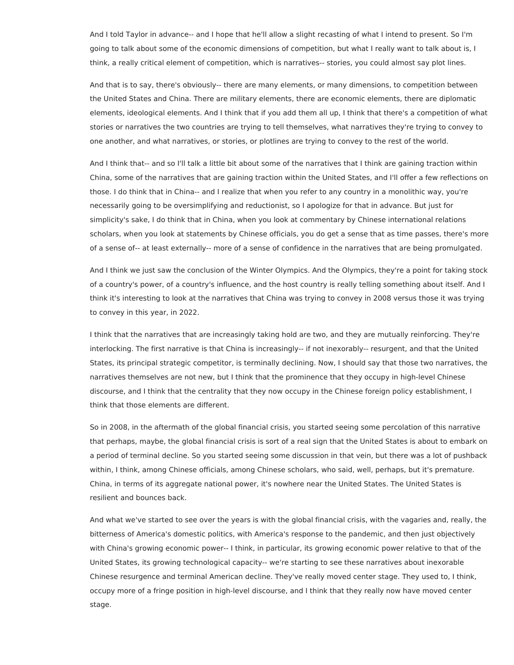And I told Taylor in advance-- and I hope that he'll allow a slight recasting of what I intend to present. So I'm going to talk about some of the economic dimensions of competition, but what I really want to talk about is, I think, a really critical element of competition, which is narratives-- stories, you could almost say plot lines.

And that is to say, there's obviously-- there are many elements, or many dimensions, to competition between the United States and China. There are military elements, there are economic elements, there are diplomatic elements, ideological elements. And I think that if you add them all up, I think that there's a competition of what stories or narratives the two countries are trying to tell themselves, what narratives they're trying to convey to one another, and what narratives, or stories, or plotlines are trying to convey to the rest of the world.

And I think that-- and so I'll talk a little bit about some of the narratives that I think are gaining traction within China, some of the narratives that are gaining traction within the United States, and I'll offer a few reflections on those. I do think that in China-- and I realize that when you refer to any country in a monolithic way, you're necessarily going to be oversimplifying and reductionist, so I apologize for that in advance. But just for simplicity's sake, I do think that in China, when you look at commentary by Chinese international relations scholars, when you look at statements by Chinese officials, you do get a sense that as time passes, there's more of a sense of-- at least externally-- more of a sense of confidence in the narratives that are being promulgated.

And I think we just saw the conclusion of the Winter Olympics. And the Olympics, they're a point for taking stock of a country's power, of a country's influence, and the host country is really telling something about itself. And I think it's interesting to look at the narratives that China was trying to convey in 2008 versus those it was trying to convey in this year, in 2022.

I think that the narratives that are increasingly taking hold are two, and they are mutually reinforcing. They're interlocking. The first narrative is that China is increasingly-- if not inexorably-- resurgent, and that the United States, its principal strategic competitor, is terminally declining. Now, I should say that those two narratives, the narratives themselves are not new, but I think that the prominence that they occupy in high-level Chinese discourse, and I think that the centrality that they now occupy in the Chinese foreign policy establishment, I think that those elements are different.

So in 2008, in the aftermath of the global financial crisis, you started seeing some percolation of this narrative that perhaps, maybe, the global financial crisis is sort of a real sign that the United States is about to embark on a period of terminal decline. So you started seeing some discussion in that vein, but there was a lot of pushback within, I think, among Chinese officials, among Chinese scholars, who said, well, perhaps, but it's premature. China, in terms of its aggregate national power, it's nowhere near the United States. The United States is resilient and bounces back.

And what we've started to see over the years is with the global financial crisis, with the vagaries and, really, the bitterness of America's domestic politics, with America's response to the pandemic, and then just objectively with China's growing economic power-- I think, in particular, its growing economic power relative to that of the United States, its growing technological capacity-- we're starting to see these narratives about inexorable Chinese resurgence and terminal American decline. They've really moved center stage. They used to, I think, occupy more of a fringe position in high-level discourse, and I think that they really now have moved center stage.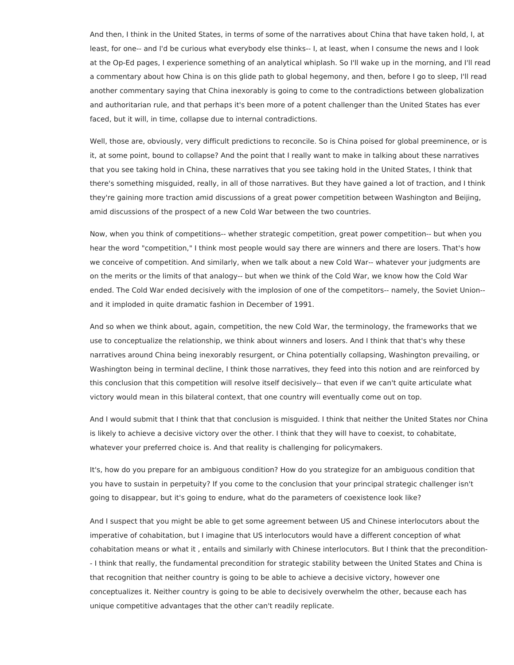And then, I think in the United States, in terms of some of the narratives about China that have taken hold, I, at least, for one-- and I'd be curious what everybody else thinks-- I, at least, when I consume the news and I look at the Op-Ed pages, I experience something of an analytical whiplash. So I'll wake up in the morning, and I'll read a commentary about how China is on this glide path to global hegemony, and then, before I go to sleep, I'll read another commentary saying that China inexorably is going to come to the contradictions between globalization and authoritarian rule, and that perhaps it's been more of a potent challenger than the United States has ever faced, but it will, in time, collapse due to internal contradictions.

Well, those are, obviously, very difficult predictions to reconcile. So is China poised for global preeminence, or is it, at some point, bound to collapse? And the point that I really want to make in talking about these narratives that you see taking hold in China, these narratives that you see taking hold in the United States, I think that there's something misguided, really, in all of those narratives. But they have gained a lot of traction, and I think they're gaining more traction amid discussions of a great power competition between Washington and Beijing, amid discussions of the prospect of a new Cold War between the two countries.

Now, when you think of competitions-- whether strategic competition, great power competition-- but when you hear the word "competition," I think most people would say there are winners and there are losers. That's how we conceive of competition. And similarly, when we talk about a new Cold War-- whatever your judgments are on the merits or the limits of that analogy-- but when we think of the Cold War, we know how the Cold War ended. The Cold War ended decisively with the implosion of one of the competitors-- namely, the Soviet Union- and it imploded in quite dramatic fashion in December of 1991.

And so when we think about, again, competition, the new Cold War, the terminology, the frameworks that we use to conceptualize the relationship, we think about winners and losers. And I think that that's why these narratives around China being inexorably resurgent, or China potentially collapsing, Washington prevailing, or Washington being in terminal decline, I think those narratives, they feed into this notion and are reinforced by this conclusion that this competition will resolve itself decisively-- that even if we can't quite articulate what victory would mean in this bilateral context, that one country will eventually come out on top.

And I would submit that I think that that conclusion is misguided. I think that neither the United States nor China is likely to achieve a decisive victory over the other. I think that they will have to coexist, to cohabitate, whatever your preferred choice is. And that reality is challenging for policymakers.

It's, how do you prepare for an ambiguous condition? How do you strategize for an ambiguous condition that you have to sustain in perpetuity? If you come to the conclusion that your principal strategic challenger isn't going to disappear, but it's going to endure, what do the parameters of coexistence look like?

And I suspect that you might be able to get some agreement between US and Chinese interlocutors about the imperative of cohabitation, but I imagine that US interlocutors would have a different conception of what cohabitation means or what it , entails and similarly with Chinese interlocutors. But I think that the precondition- - I think that really, the fundamental precondition for strategic stability between the United States and China is that recognition that neither country is going to be able to achieve a decisive victory, however one conceptualizes it. Neither country is going to be able to decisively overwhelm the other, because each has unique competitive advantages that the other can't readily replicate.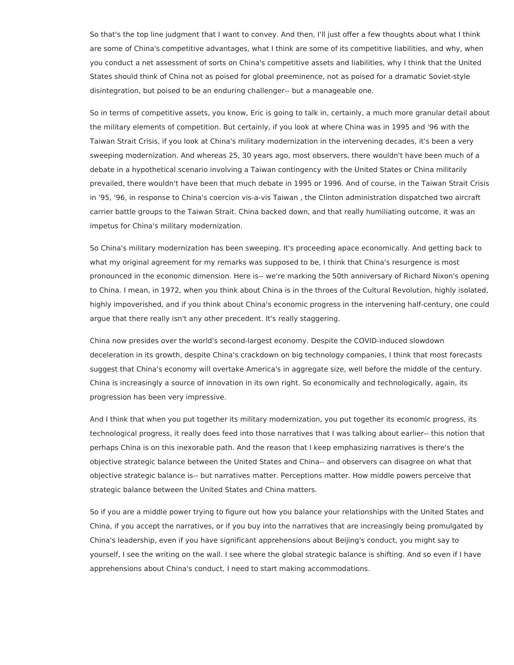So that's the top line judgment that I want to convey. And then, I'll just offer a few thoughts about what I think are some of China's competitive advantages, what I think are some of its competitive liabilities, and why, when you conduct a net assessment of sorts on China's competitive assets and liabilities, why I think that the United States should think of China not as poised for global preeminence, not as poised for a dramatic Soviet-style disintegration, but poised to be an enduring challenger-- but a manageable one.

So in terms of competitive assets, you know, Eric is going to talk in, certainly, a much more granular detail about the military elements of competition. But certainly, if you look at where China was in 1995 and '96 with the Taiwan Strait Crisis, if you look at China's military modernization in the intervening decades, it's been a very sweeping modernization. And whereas 25, 30 years ago, most observers, there wouldn't have been much of a debate in a hypothetical scenario involving a Taiwan contingency with the United States or China militarily prevailed, there wouldn't have been that much debate in 1995 or 1996. And of course, in the Taiwan Strait Crisis in '95, '96, in response to China's coercion vis-a-vis Taiwan , the Clinton administration dispatched two aircraft carrier battle groups to the Taiwan Strait. China backed down, and that really humiliating outcome, it was an impetus for China's military modernization.

So China's military modernization has been sweeping. It's proceeding apace economically. And getting back to what my original agreement for my remarks was supposed to be, I think that China's resurgence is most pronounced in the economic dimension. Here is-- we're marking the 50th anniversary of Richard Nixon's opening to China. I mean, in 1972, when you think about China is in the throes of the Cultural Revolution, highly isolated, highly impoverished, and if you think about China's economic progress in the intervening half-century, one could argue that there really isn't any other precedent. It's really staggering.

China now presides over the world's second-largest economy. Despite the COVID-induced slowdown deceleration in its growth, despite China's crackdown on big technology companies, I think that most forecasts suggest that China's economy will overtake America's in aggregate size, well before the middle of the century. China is increasingly a source of innovation in its own right. So economically and technologically, again, its progression has been very impressive.

And I think that when you put together its military modernization, you put together its economic progress, its technological progress, it really does feed into those narratives that I was talking about earlier-- this notion that perhaps China is on this inexorable path. And the reason that I keep emphasizing narratives is there's the objective strategic balance between the United States and China-- and observers can disagree on what that objective strategic balance is-- but narratives matter. Perceptions matter. How middle powers perceive that strategic balance between the United States and China matters.

So if you are a middle power trying to figure out how you balance your relationships with the United States and China, if you accept the narratives, or if you buy into the narratives that are increasingly being promulgated by China's leadership, even if you have significant apprehensions about Beijing's conduct, you might say to yourself, I see the writing on the wall. I see where the global strategic balance is shifting. And so even if I have apprehensions about China's conduct, I need to start making accommodations.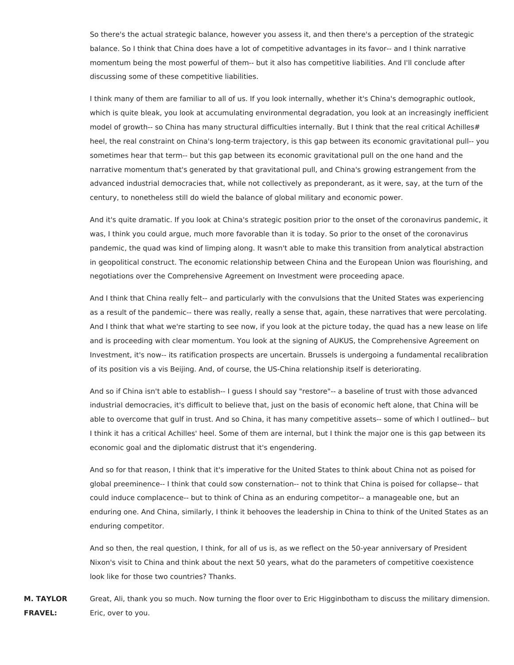So there's the actual strategic balance, however you assess it, and then there's a perception of the strategic balance. So I think that China does have a lot of competitive advantages in its favor-- and I think narrative momentum being the most powerful of them-- but it also has competitive liabilities. And I'll conclude after discussing some of these competitive liabilities.

I think many of them are familiar to all of us. If you look internally, whether it's China's demographic outlook, which is quite bleak, you look at accumulating environmental degradation, you look at an increasingly inefficient model of growth-- so China has many structural difficulties internally. But I think that the real critical Achilles# heel, the real constraint on China's long-term trajectory, is this gap between its economic gravitational pull-- you sometimes hear that term-- but this gap between its economic gravitational pull on the one hand and the narrative momentum that's generated by that gravitational pull, and China's growing estrangement from the advanced industrial democracies that, while not collectively as preponderant, as it were, say, at the turn of the century, to nonetheless still do wield the balance of global military and economic power.

And it's quite dramatic. If you look at China's strategic position prior to the onset of the coronavirus pandemic, it was, I think you could argue, much more favorable than it is today. So prior to the onset of the coronavirus pandemic, the quad was kind of limping along. It wasn't able to make this transition from analytical abstraction in geopolitical construct. The economic relationship between China and the European Union was flourishing, and negotiations over the Comprehensive Agreement on Investment were proceeding apace.

And I think that China really felt-- and particularly with the convulsions that the United States was experiencing as a result of the pandemic-- there was really, really a sense that, again, these narratives that were percolating. And I think that what we're starting to see now, if you look at the picture today, the quad has a new lease on life and is proceeding with clear momentum. You look at the signing of AUKUS, the Comprehensive Agreement on Investment, it's now-- its ratification prospects are uncertain. Brussels is undergoing a fundamental recalibration of its position vis a vis Beijing. And, of course, the US-China relationship itself is deteriorating.

And so if China isn't able to establish-- I guess I should say "restore"-- a baseline of trust with those advanced industrial democracies, it's difficult to believe that, just on the basis of economic heft alone, that China will be able to overcome that gulf in trust. And so China, it has many competitive assets-- some of which I outlined-- but I think it has a critical Achilles' heel. Some of them are internal, but I think the major one is this gap between its economic goal and the diplomatic distrust that it's engendering.

And so for that reason, I think that it's imperative for the United States to think about China not as poised for global preeminence-- I think that could sow consternation-- not to think that China is poised for collapse-- that could induce complacence-- but to think of China as an enduring competitor-- a manageable one, but an enduring one. And China, similarly, I think it behooves the leadership in China to think of the United States as an enduring competitor.

And so then, the real question, I think, for all of us is, as we reflect on the 50-year anniversary of President Nixon's visit to China and think about the next 50 years, what do the parameters of competitive coexistence look like for those two countries? Thanks.

**M. TAYLOR FRAVEL:** Great, Ali, thank you so much. Now turning the floor over to Eric Higginbotham to discuss the military dimension. Eric, over to you.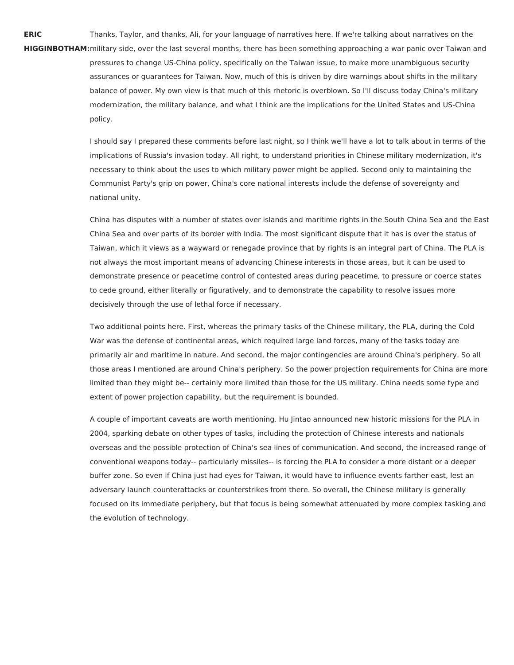**ERIC HIGGINBOTHAM:**military side, over the last several months, there has been something approaching a war panic over Taiwan and Thanks, Taylor, and thanks, Ali, for your language of narratives here. If we're talking about narratives on the pressures to change US-China policy, specifically on the Taiwan issue, to make more unambiguous security assurances or guarantees for Taiwan. Now, much of this is driven by dire warnings about shifts in the military balance of power. My own view is that much of this rhetoric is overblown. So I'll discuss today China's military modernization, the military balance, and what I think are the implications for the United States and US-China

policy.

I should say I prepared these comments before last night, so I think we'll have a lot to talk about in terms of the implications of Russia's invasion today. All right, to understand priorities in Chinese military modernization, it's necessary to think about the uses to which military power might be applied. Second only to maintaining the Communist Party's grip on power, China's core national interests include the defense of sovereignty and national unity.

China has disputes with a number of states over islands and maritime rights in the South China Sea and the East China Sea and over parts of its border with India. The most significant dispute that it has is over the status of Taiwan, which it views as a wayward or renegade province that by rights is an integral part of China. The PLA is not always the most important means of advancing Chinese interests in those areas, but it can be used to demonstrate presence or peacetime control of contested areas during peacetime, to pressure or coerce states to cede ground, either literally or figuratively, and to demonstrate the capability to resolve issues more decisively through the use of lethal force if necessary.

Two additional points here. First, whereas the primary tasks of the Chinese military, the PLA, during the Cold War was the defense of continental areas, which required large land forces, many of the tasks today are primarily air and maritime in nature. And second, the major contingencies are around China's periphery. So all those areas I mentioned are around China's periphery. So the power projection requirements for China are more limited than they might be-- certainly more limited than those for the US military. China needs some type and extent of power projection capability, but the requirement is bounded.

A couple of important caveats are worth mentioning. Hu Jintao announced new historic missions for the PLA in 2004, sparking debate on other types of tasks, including the protection of Chinese interests and nationals overseas and the possible protection of China's sea lines of communication. And second, the increased range of conventional weapons today-- particularly missiles-- is forcing the PLA to consider a more distant or a deeper buffer zone. So even if China just had eyes for Taiwan, it would have to influence events farther east, lest an adversary launch counterattacks or counterstrikes from there. So overall, the Chinese military is generally focused on its immediate periphery, but that focus is being somewhat attenuated by more complex tasking and the evolution of technology.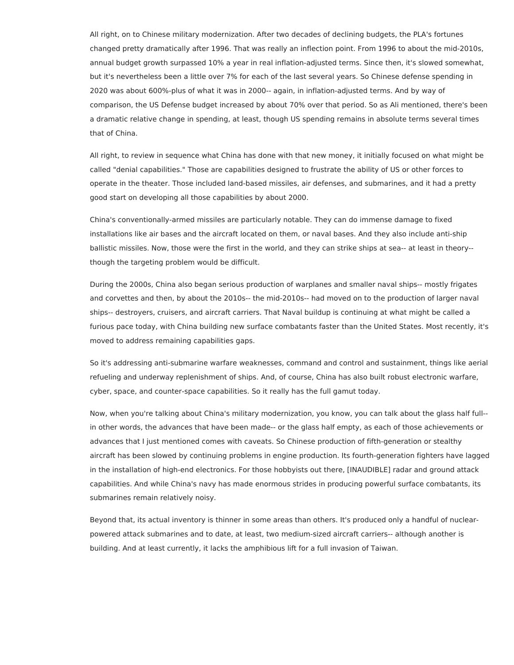All right, on to Chinese military modernization. After two decades of declining budgets, the PLA's fortunes changed pretty dramatically after 1996. That was really an inflection point. From 1996 to about the mid-2010s, annual budget growth surpassed 10% a year in real inflation-adjusted terms. Since then, it's slowed somewhat, but it's nevertheless been a little over 7% for each of the last several years. So Chinese defense spending in 2020 was about 600%-plus of what it was in 2000-- again, in inflation-adjusted terms. And by way of comparison, the US Defense budget increased by about 70% over that period. So as Ali mentioned, there's been a dramatic relative change in spending, at least, though US spending remains in absolute terms several times that of China.

All right, to review in sequence what China has done with that new money, it initially focused on what might be called "denial capabilities." Those are capabilities designed to frustrate the ability of US or other forces to operate in the theater. Those included land-based missiles, air defenses, and submarines, and it had a pretty good start on developing all those capabilities by about 2000.

China's conventionally-armed missiles are particularly notable. They can do immense damage to fixed installations like air bases and the aircraft located on them, or naval bases. And they also include anti-ship ballistic missiles. Now, those were the first in the world, and they can strike ships at sea-- at least in theory- though the targeting problem would be difficult.

During the 2000s, China also began serious production of warplanes and smaller naval ships-- mostly frigates and corvettes and then, by about the 2010s-- the mid-2010s-- had moved on to the production of larger naval ships-- destroyers, cruisers, and aircraft carriers. That Naval buildup is continuing at what might be called a furious pace today, with China building new surface combatants faster than the United States. Most recently, it's moved to address remaining capabilities gaps.

So it's addressing anti-submarine warfare weaknesses, command and control and sustainment, things like aerial refueling and underway replenishment of ships. And, of course, China has also built robust electronic warfare, cyber, space, and counter-space capabilities. So it really has the full gamut today.

Now, when you're talking about China's military modernization, you know, you can talk about the glass half full- in other words, the advances that have been made-- or the glass half empty, as each of those achievements or advances that I just mentioned comes with caveats. So Chinese production of fifth-generation or stealthy aircraft has been slowed by continuing problems in engine production. Its fourth-generation fighters have lagged in the installation of high-end electronics. For those hobbyists out there, [INAUDIBLE] radar and ground attack capabilities. And while China's navy has made enormous strides in producing powerful surface combatants, its submarines remain relatively noisy.

Beyond that, its actual inventory is thinner in some areas than others. It's produced only a handful of nuclearpowered attack submarines and to date, at least, two medium-sized aircraft carriers-- although another is building. And at least currently, it lacks the amphibious lift for a full invasion of Taiwan.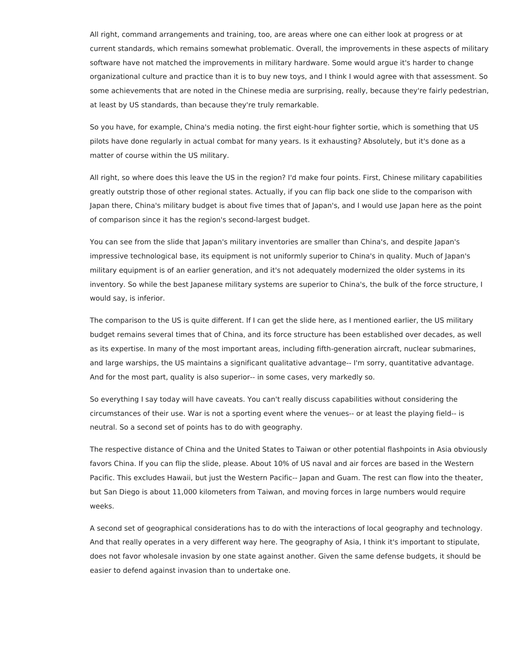All right, command arrangements and training, too, are areas where one can either look at progress or at current standards, which remains somewhat problematic. Overall, the improvements in these aspects of military software have not matched the improvements in military hardware. Some would argue it's harder to change organizational culture and practice than it is to buy new toys, and I think I would agree with that assessment. So some achievements that are noted in the Chinese media are surprising, really, because they're fairly pedestrian, at least by US standards, than because they're truly remarkable.

So you have, for example, China's media noting. the first eight-hour fighter sortie, which is something that US pilots have done regularly in actual combat for many years. Is it exhausting? Absolutely, but it's done as a matter of course within the US military.

All right, so where does this leave the US in the region? I'd make four points. First, Chinese military capabilities greatly outstrip those of other regional states. Actually, if you can flip back one slide to the comparison with Japan there, China's military budget is about five times that of Japan's, and I would use Japan here as the point of comparison since it has the region's second-largest budget.

You can see from the slide that Japan's military inventories are smaller than China's, and despite Japan's impressive technological base, its equipment is not uniformly superior to China's in quality. Much of Japan's military equipment is of an earlier generation, and it's not adequately modernized the older systems in its inventory. So while the best Japanese military systems are superior to China's, the bulk of the force structure, I would say, is inferior.

The comparison to the US is quite different. If I can get the slide here, as I mentioned earlier, the US military budget remains several times that of China, and its force structure has been established over decades, as well as its expertise. In many of the most important areas, including fifth-generation aircraft, nuclear submarines, and large warships, the US maintains a significant qualitative advantage-- I'm sorry, quantitative advantage. And for the most part, quality is also superior-- in some cases, very markedly so.

So everything I say today will have caveats. You can't really discuss capabilities without considering the circumstances of their use. War is not a sporting event where the venues-- or at least the playing field-- is neutral. So a second set of points has to do with geography.

The respective distance of China and the United States to Taiwan or other potential flashpoints in Asia obviously favors China. If you can flip the slide, please. About 10% of US naval and air forces are based in the Western Pacific. This excludes Hawaii, but just the Western Pacific-- Japan and Guam. The rest can flow into the theater, but San Diego is about 11,000 kilometers from Taiwan, and moving forces in large numbers would require weeks.

A second set of geographical considerations has to do with the interactions of local geography and technology. And that really operates in a very different way here. The geography of Asia, I think it's important to stipulate, does not favor wholesale invasion by one state against another. Given the same defense budgets, it should be easier to defend against invasion than to undertake one.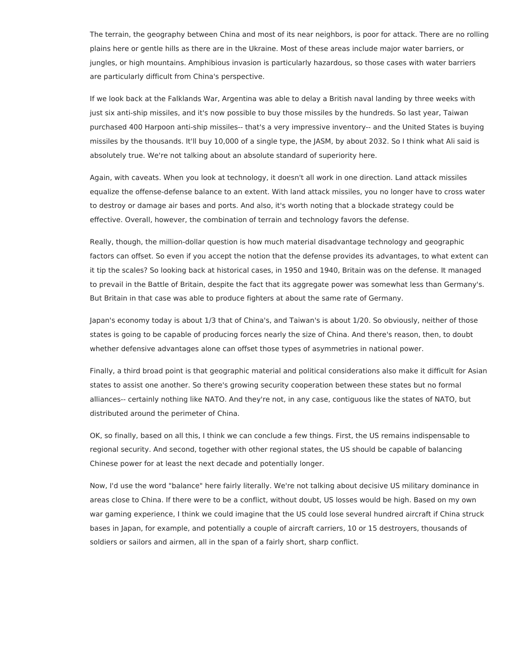The terrain, the geography between China and most of its near neighbors, is poor for attack. There are no rolling plains here or gentle hills as there are in the Ukraine. Most of these areas include major water barriers, or jungles, or high mountains. Amphibious invasion is particularly hazardous, so those cases with water barriers are particularly difficult from China's perspective.

If we look back at the Falklands War, Argentina was able to delay a British naval landing by three weeks with just six anti-ship missiles, and it's now possible to buy those missiles by the hundreds. So last year, Taiwan purchased 400 Harpoon anti-ship missiles-- that's a very impressive inventory-- and the United States is buying missiles by the thousands. It'll buy 10,000 of a single type, the JASM, by about 2032. So I think what Ali said is absolutely true. We're not talking about an absolute standard of superiority here.

Again, with caveats. When you look at technology, it doesn't all work in one direction. Land attack missiles equalize the offense-defense balance to an extent. With land attack missiles, you no longer have to cross water to destroy or damage air bases and ports. And also, it's worth noting that a blockade strategy could be effective. Overall, however, the combination of terrain and technology favors the defense.

Really, though, the million-dollar question is how much material disadvantage technology and geographic factors can offset. So even if you accept the notion that the defense provides its advantages, to what extent can it tip the scales? So looking back at historical cases, in 1950 and 1940, Britain was on the defense. It managed to prevail in the Battle of Britain, despite the fact that its aggregate power was somewhat less than Germany's. But Britain in that case was able to produce fighters at about the same rate of Germany.

Japan's economy today is about 1/3 that of China's, and Taiwan's is about 1/20. So obviously, neither of those states is going to be capable of producing forces nearly the size of China. And there's reason, then, to doubt whether defensive advantages alone can offset those types of asymmetries in national power.

Finally, a third broad point is that geographic material and political considerations also make it difficult for Asian states to assist one another. So there's growing security cooperation between these states but no formal alliances-- certainly nothing like NATO. And they're not, in any case, contiguous like the states of NATO, but distributed around the perimeter of China.

OK, so finally, based on all this, I think we can conclude a few things. First, the US remains indispensable to regional security. And second, together with other regional states, the US should be capable of balancing Chinese power for at least the next decade and potentially longer.

Now, I'd use the word "balance" here fairly literally. We're not talking about decisive US military dominance in areas close to China. If there were to be a conflict, without doubt, US losses would be high. Based on my own war gaming experience, I think we could imagine that the US could lose several hundred aircraft if China struck bases in Japan, for example, and potentially a couple of aircraft carriers, 10 or 15 destroyers, thousands of soldiers or sailors and airmen, all in the span of a fairly short, sharp conflict.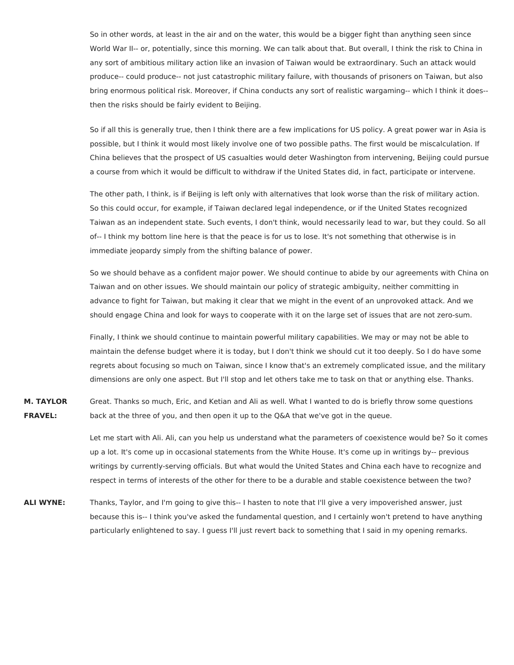So in other words, at least in the air and on the water, this would be a bigger fight than anything seen since World War II-- or, potentially, since this morning. We can talk about that. But overall, I think the risk to China in any sort of ambitious military action like an invasion of Taiwan would be extraordinary. Such an attack would produce-- could produce-- not just catastrophic military failure, with thousands of prisoners on Taiwan, but also bring enormous political risk. Moreover, if China conducts any sort of realistic wargaming-- which I think it does- then the risks should be fairly evident to Beijing.

So if all this is generally true, then I think there are a few implications for US policy. A great power war in Asia is possible, but I think it would most likely involve one of two possible paths. The first would be miscalculation. If China believes that the prospect of US casualties would deter Washington from intervening, Beijing could pursue a course from which it would be difficult to withdraw if the United States did, in fact, participate or intervene.

The other path, I think, is if Beijing is left only with alternatives that look worse than the risk of military action. So this could occur, for example, if Taiwan declared legal independence, or if the United States recognized Taiwan as an independent state. Such events, I don't think, would necessarily lead to war, but they could. So all of-- I think my bottom line here is that the peace is for us to lose. It's not something that otherwise is in immediate jeopardy simply from the shifting balance of power.

So we should behave as a confident major power. We should continue to abide by our agreements with China on Taiwan and on other issues. We should maintain our policy of strategic ambiguity, neither committing in advance to fight for Taiwan, but making it clear that we might in the event of an unprovoked attack. And we should engage China and look for ways to cooperate with it on the large set of issues that are not zero-sum.

Finally, I think we should continue to maintain powerful military capabilities. We may or may not be able to maintain the defense budget where it is today, but I don't think we should cut it too deeply. So I do have some regrets about focusing so much on Taiwan, since I know that's an extremely complicated issue, and the military dimensions are only one aspect. But I'll stop and let others take me to task on that or anything else. Thanks.

**M. TAYLOR FRAVEL:** Great. Thanks so much, Eric, and Ketian and Ali as well. What I wanted to do is briefly throw some questions back at the three of you, and then open it up to the Q&A that we've got in the queue.

> Let me start with Ali. Ali, can you help us understand what the parameters of coexistence would be? So it comes up a lot. It's come up in occasional statements from the White House. It's come up in writings by-- previous writings by currently-serving officials. But what would the United States and China each have to recognize and respect in terms of interests of the other for there to be a durable and stable coexistence between the two?

**ALI WYNE:** Thanks, Taylor, and I'm going to give this-- I hasten to note that I'll give a very impoverished answer, just because this is-- I think you've asked the fundamental question, and I certainly won't pretend to have anything particularly enlightened to say. I guess I'll just revert back to something that I said in my opening remarks.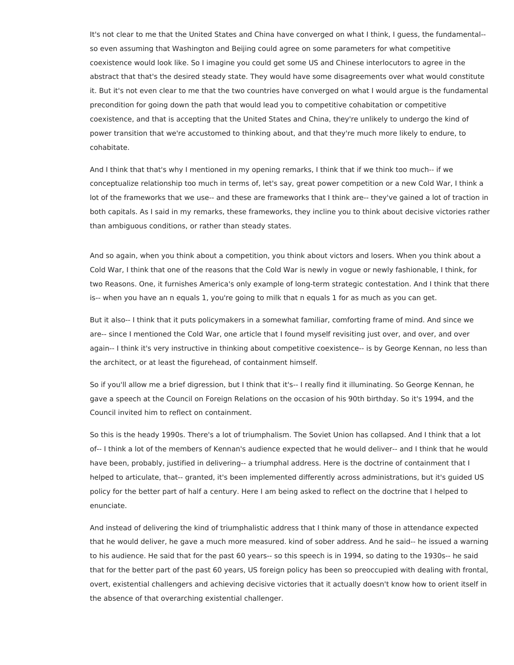It's not clear to me that the United States and China have converged on what I think, I guess, the fundamental- so even assuming that Washington and Beijing could agree on some parameters for what competitive coexistence would look like. So I imagine you could get some US and Chinese interlocutors to agree in the abstract that that's the desired steady state. They would have some disagreements over what would constitute it. But it's not even clear to me that the two countries have converged on what I would argue is the fundamental precondition for going down the path that would lead you to competitive cohabitation or competitive coexistence, and that is accepting that the United States and China, they're unlikely to undergo the kind of power transition that we're accustomed to thinking about, and that they're much more likely to endure, to cohabitate.

And I think that that's why I mentioned in my opening remarks, I think that if we think too much-- if we conceptualize relationship too much in terms of, let's say, great power competition or a new Cold War, I think a lot of the frameworks that we use-- and these are frameworks that I think are-- they've gained a lot of traction in both capitals. As I said in my remarks, these frameworks, they incline you to think about decisive victories rather than ambiguous conditions, or rather than steady states.

And so again, when you think about a competition, you think about victors and losers. When you think about a Cold War, I think that one of the reasons that the Cold War is newly in vogue or newly fashionable, I think, for two Reasons. One, it furnishes America's only example of long-term strategic contestation. And I think that there is-- when you have an n equals 1, you're going to milk that n equals 1 for as much as you can get.

But it also-- I think that it puts policymakers in a somewhat familiar, comforting frame of mind. And since we are-- since I mentioned the Cold War, one article that I found myself revisiting just over, and over, and over again-- I think it's very instructive in thinking about competitive coexistence-- is by George Kennan, no less than the architect, or at least the figurehead, of containment himself.

So if you'll allow me a brief digression, but I think that it's-- I really find it illuminating. So George Kennan, he gave a speech at the Council on Foreign Relations on the occasion of his 90th birthday. So it's 1994, and the Council invited him to reflect on containment.

So this is the heady 1990s. There's a lot of triumphalism. The Soviet Union has collapsed. And I think that a lot of-- I think a lot of the members of Kennan's audience expected that he would deliver-- and I think that he would have been, probably, justified in delivering-- a triumphal address. Here is the doctrine of containment that I helped to articulate, that-- granted, it's been implemented differently across administrations, but it's guided US policy for the better part of half a century. Here I am being asked to reflect on the doctrine that I helped to enunciate.

And instead of delivering the kind of triumphalistic address that I think many of those in attendance expected that he would deliver, he gave a much more measured. kind of sober address. And he said-- he issued a warning to his audience. He said that for the past 60 years-- so this speech is in 1994, so dating to the 1930s-- he said that for the better part of the past 60 years, US foreign policy has been so preoccupied with dealing with frontal, overt, existential challengers and achieving decisive victories that it actually doesn't know how to orient itself in the absence of that overarching existential challenger.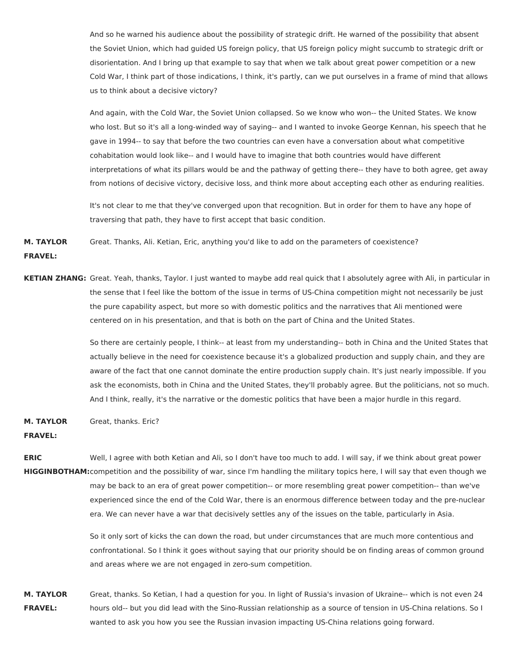And so he warned his audience about the possibility of strategic drift. He warned of the possibility that absent the Soviet Union, which had guided US foreign policy, that US foreign policy might succumb to strategic drift or disorientation. And I bring up that example to say that when we talk about great power competition or a new Cold War, I think part of those indications, I think, it's partly, can we put ourselves in a frame of mind that allows us to think about a decisive victory?

And again, with the Cold War, the Soviet Union collapsed. So we know who won-- the United States. We know who lost. But so it's all a long-winded way of saying-- and I wanted to invoke George Kennan, his speech that he gave in 1994-- to say that before the two countries can even have a conversation about what competitive cohabitation would look like-- and I would have to imagine that both countries would have different interpretations of what its pillars would be and the pathway of getting there-- they have to both agree, get away from notions of decisive victory, decisive loss, and think more about accepting each other as enduring realities.

It's not clear to me that they've converged upon that recognition. But in order for them to have any hope of traversing that path, they have to first accept that basic condition.

**M. TAYLOR FRAVEL:** Great. Thanks, Ali. Ketian, Eric, anything you'd like to add on the parameters of coexistence?

**KETIAN ZHANG:** Great. Yeah, thanks, Taylor. I just wanted to maybe add real quick that I absolutely agree with Ali, in particular in the sense that I feel like the bottom of the issue in terms of US-China competition might not necessarily be just the pure capability aspect, but more so with domestic politics and the narratives that Ali mentioned were centered on in his presentation, and that is both on the part of China and the United States.

> So there are certainly people, I think-- at least from my understanding-- both in China and the United States that actually believe in the need for coexistence because it's a globalized production and supply chain, and they are aware of the fact that one cannot dominate the entire production supply chain. It's just nearly impossible. If you ask the economists, both in China and the United States, they'll probably agree. But the politicians, not so much. And I think, really, it's the narrative or the domestic politics that have been a major hurdle in this regard.

**M. TAYLOR** Great, thanks. Eric?

## **FRAVEL:**

**ERIC HIGGINBOTHAM:** competition and the possibility of war, since I'm handling the military topics here, I will say that even though we Well, I agree with both Ketian and Ali, so I don't have too much to add. I will say, if we think about great power may be back to an era of great power competition-- or more resembling great power competition-- than we've experienced since the end of the Cold War, there is an enormous difference between today and the pre-nuclear era. We can never have a war that decisively settles any of the issues on the table, particularly in Asia.

> So it only sort of kicks the can down the road, but under circumstances that are much more contentious and confrontational. So I think it goes without saying that our priority should be on finding areas of common ground and areas where we are not engaged in zero-sum competition.

**M. TAYLOR FRAVEL:** Great, thanks. So Ketian, I had a question for you. In light of Russia's invasion of Ukraine-- which is not even 24 hours old-- but you did lead with the Sino-Russian relationship as a source of tension in US-China relations. So I wanted to ask you how you see the Russian invasion impacting US-China relations going forward.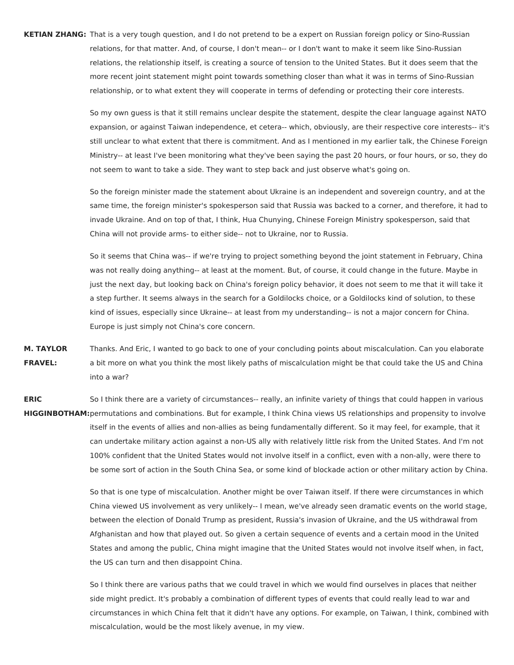**KETIAN ZHANG:** That is a very tough question, and I do not pretend to be a expert on Russian foreign policy or Sino-Russian relations, for that matter. And, of course, I don't mean-- or I don't want to make it seem like Sino-Russian relations, the relationship itself, is creating a source of tension to the United States. But it does seem that the more recent joint statement might point towards something closer than what it was in terms of Sino-Russian relationship, or to what extent they will cooperate in terms of defending or protecting their core interests.

> So my own guess is that it still remains unclear despite the statement, despite the clear language against NATO expansion, or against Taiwan independence, et cetera-- which, obviously, are their respective core interests-- it's still unclear to what extent that there is commitment. And as I mentioned in my earlier talk, the Chinese Foreign Ministry-- at least I've been monitoring what they've been saying the past 20 hours, or four hours, or so, they do not seem to want to take a side. They want to step back and just observe what's going on.

> So the foreign minister made the statement about Ukraine is an independent and sovereign country, and at the same time, the foreign minister's spokesperson said that Russia was backed to a corner, and therefore, it had to invade Ukraine. And on top of that, I think, Hua Chunying, Chinese Foreign Ministry spokesperson, said that China will not provide arms- to either side-- not to Ukraine, nor to Russia.

> So it seems that China was-- if we're trying to project something beyond the joint statement in February, China was not really doing anything-- at least at the moment. But, of course, it could change in the future. Maybe in just the next day, but looking back on China's foreign policy behavior, it does not seem to me that it will take it a step further. It seems always in the search for a Goldilocks choice, or a Goldilocks kind of solution, to these kind of issues, especially since Ukraine-- at least from my understanding-- is not a major concern for China. Europe is just simply not China's core concern.

**M. TAYLOR FRAVEL:** Thanks. And Eric, I wanted to go back to one of your concluding points about miscalculation. Can you elaborate a bit more on what you think the most likely paths of miscalculation might be that could take the US and China into a war?

**ERIC HIGGINBOTHAM:** permutations and combinations. But for example, I think China views US relationships and propensity to involve So I think there are a variety of circumstances-- really, an infinite variety of things that could happen in various itself in the events of allies and non-allies as being fundamentally different. So it may feel, for example, that it can undertake military action against a non-US ally with relatively little risk from the United States. And I'm not 100% confident that the United States would not involve itself in a conflict, even with a non-ally, were there to be some sort of action in the South China Sea, or some kind of blockade action or other military action by China.

> So that is one type of miscalculation. Another might be over Taiwan itself. If there were circumstances in which China viewed US involvement as very unlikely-- I mean, we've already seen dramatic events on the world stage, between the election of Donald Trump as president, Russia's invasion of Ukraine, and the US withdrawal from Afghanistan and how that played out. So given a certain sequence of events and a certain mood in the United States and among the public, China might imagine that the United States would not involve itself when, in fact, the US can turn and then disappoint China.

> So I think there are various paths that we could travel in which we would find ourselves in places that neither side might predict. It's probably a combination of different types of events that could really lead to war and circumstances in which China felt that it didn't have any options. For example, on Taiwan, I think, combined with miscalculation, would be the most likely avenue, in my view.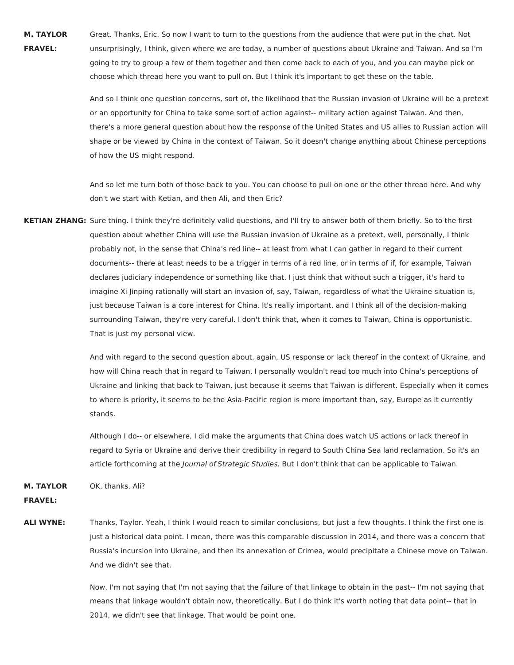**M. TAYLOR FRAVEL:** Great. Thanks, Eric. So now I want to turn to the questions from the audience that were put in the chat. Not unsurprisingly, I think, given where we are today, a number of questions about Ukraine and Taiwan. And so I'm going to try to group a few of them together and then come back to each of you, and you can maybe pick or choose which thread here you want to pull on. But I think it's important to get these on the table.

> And so I think one question concerns, sort of, the likelihood that the Russian invasion of Ukraine will be a pretext or an opportunity for China to take some sort of action against-- military action against Taiwan. And then, there's a more general question about how the response of the United States and US allies to Russian action will shape or be viewed by China in the context of Taiwan. So it doesn't change anything about Chinese perceptions of how the US might respond.

And so let me turn both of those back to you. You can choose to pull on one or the other thread here. And why don't we start with Ketian, and then Ali, and then Eric?

**KETIAN ZHANG:** Sure thing. I think they're definitely valid questions, and I'll try to answer both of them briefly. So to the first question about whether China will use the Russian invasion of Ukraine as a pretext, well, personally, I think probably not, in the sense that China's red line-- at least from what I can gather in regard to their current documents-- there at least needs to be a trigger in terms of a red line, or in terms of if, for example, Taiwan declares judiciary independence or something like that. I just think that without such a trigger, it's hard to imagine Xi Jinping rationally will start an invasion of, say, Taiwan, regardless of what the Ukraine situation is, just because Taiwan is a core interest for China. It's really important, and I think all of the decision-making surrounding Taiwan, they're very careful. I don't think that, when it comes to Taiwan, China is opportunistic. That is just my personal view.

> And with regard to the second question about, again, US response or lack thereof in the context of Ukraine, and how will China reach that in regard to Taiwan, I personally wouldn't read too much into China's perceptions of Ukraine and linking that back to Taiwan, just because it seems that Taiwan is different. Especially when it comes to where is priority, it seems to be the Asia-Pacific region is more important than, say, Europe as it currently stands.

Although I do-- or elsewhere, I did make the arguments that China does watch US actions or lack thereof in regard to Syria or Ukraine and derive their credibility in regard to South China Sea land reclamation. So it's an article forthcoming at the Journal of Strategic Studies. But I don't think that can be applicable to Taiwan.

**M. TAYLOR** OK, thanks. Ali?

**FRAVEL:**

**ALI WYNE:** Thanks, Taylor. Yeah, I think I would reach to similar conclusions, but just a few thoughts. I think the first one is just a historical data point. I mean, there was this comparable discussion in 2014, and there was a concern that Russia's incursion into Ukraine, and then its annexation of Crimea, would precipitate a Chinese move on Taiwan. And we didn't see that.

> Now, I'm not saying that I'm not saying that the failure of that linkage to obtain in the past-- I'm not saying that means that linkage wouldn't obtain now, theoretically. But I do think it's worth noting that data point-- that in 2014, we didn't see that linkage. That would be point one.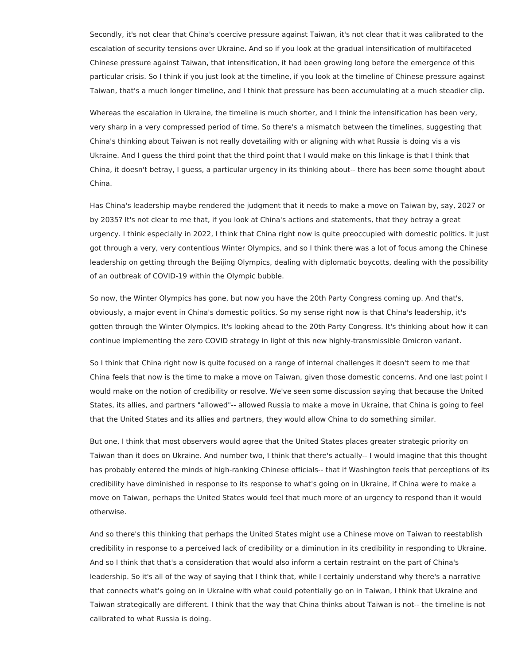Secondly, it's not clear that China's coercive pressure against Taiwan, it's not clear that it was calibrated to the escalation of security tensions over Ukraine. And so if you look at the gradual intensification of multifaceted Chinese pressure against Taiwan, that intensification, it had been growing long before the emergence of this particular crisis. So I think if you just look at the timeline, if you look at the timeline of Chinese pressure against Taiwan, that's a much longer timeline, and I think that pressure has been accumulating at a much steadier clip.

Whereas the escalation in Ukraine, the timeline is much shorter, and I think the intensification has been very, very sharp in a very compressed period of time. So there's a mismatch between the timelines, suggesting that China's thinking about Taiwan is not really dovetailing with or aligning with what Russia is doing vis a vis Ukraine. And I guess the third point that the third point that I would make on this linkage is that I think that China, it doesn't betray, I guess, a particular urgency in its thinking about-- there has been some thought about China.

Has China's leadership maybe rendered the judgment that it needs to make a move on Taiwan by, say, 2027 or by 2035? It's not clear to me that, if you look at China's actions and statements, that they betray a great urgency. I think especially in 2022, I think that China right now is quite preoccupied with domestic politics. It just got through a very, very contentious Winter Olympics, and so I think there was a lot of focus among the Chinese leadership on getting through the Beijing Olympics, dealing with diplomatic boycotts, dealing with the possibility of an outbreak of COVID-19 within the Olympic bubble.

So now, the Winter Olympics has gone, but now you have the 20th Party Congress coming up. And that's, obviously, a major event in China's domestic politics. So my sense right now is that China's leadership, it's gotten through the Winter Olympics. It's looking ahead to the 20th Party Congress. It's thinking about how it can continue implementing the zero COVID strategy in light of this new highly-transmissible Omicron variant.

So I think that China right now is quite focused on a range of internal challenges it doesn't seem to me that China feels that now is the time to make a move on Taiwan, given those domestic concerns. And one last point I would make on the notion of credibility or resolve. We've seen some discussion saying that because the United States, its allies, and partners "allowed"-- allowed Russia to make a move in Ukraine, that China is going to feel that the United States and its allies and partners, they would allow China to do something similar.

But one, I think that most observers would agree that the United States places greater strategic priority on Taiwan than it does on Ukraine. And number two, I think that there's actually-- I would imagine that this thought has probably entered the minds of high-ranking Chinese officials-- that if Washington feels that perceptions of its credibility have diminished in response to its response to what's going on in Ukraine, if China were to make a move on Taiwan, perhaps the United States would feel that much more of an urgency to respond than it would otherwise.

And so there's this thinking that perhaps the United States might use a Chinese move on Taiwan to reestablish credibility in response to a perceived lack of credibility or a diminution in its credibility in responding to Ukraine. And so I think that that's a consideration that would also inform a certain restraint on the part of China's leadership. So it's all of the way of saying that I think that, while I certainly understand why there's a narrative that connects what's going on in Ukraine with what could potentially go on in Taiwan, I think that Ukraine and Taiwan strategically are different. I think that the way that China thinks about Taiwan is not-- the timeline is not calibrated to what Russia is doing.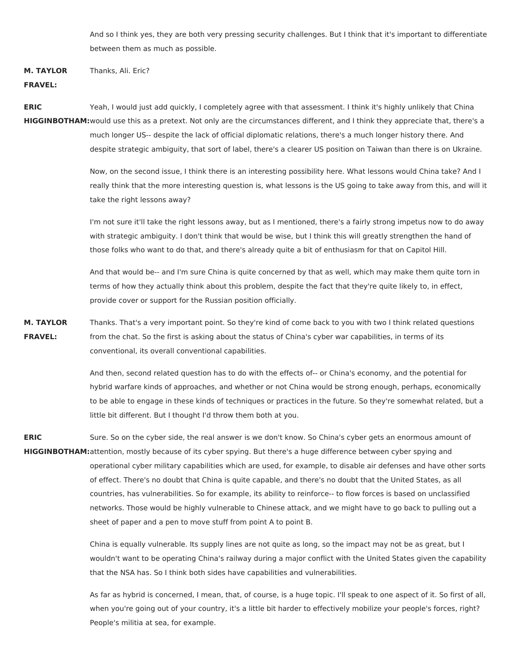And so I think yes, they are both very pressing security challenges. But I think that it's important to differentiate between them as much as possible.

**M. TAYLOR** Thanks, Ali. Eric?

## **FRAVEL:**

**ERIC HIGGINBOTHAM:** would use this as a pretext. Not only are the circumstances different, and I think they appreciate that, there's a Yeah, I would just add quickly, I completely agree with that assessment. I think it's highly unlikely that China much longer US-- despite the lack of official diplomatic relations, there's a much longer history there. And despite strategic ambiguity, that sort of label, there's a clearer US position on Taiwan than there is on Ukraine.

> Now, on the second issue, I think there is an interesting possibility here. What lessons would China take? And I really think that the more interesting question is, what lessons is the US going to take away from this, and will it take the right lessons away?

> I'm not sure it'll take the right lessons away, but as I mentioned, there's a fairly strong impetus now to do away with strategic ambiguity. I don't think that would be wise, but I think this will greatly strengthen the hand of those folks who want to do that, and there's already quite a bit of enthusiasm for that on Capitol Hill.

> And that would be-- and I'm sure China is quite concerned by that as well, which may make them quite torn in terms of how they actually think about this problem, despite the fact that they're quite likely to, in effect, provide cover or support for the Russian position officially.

**M. TAYLOR FRAVEL:** Thanks. That's a very important point. So they're kind of come back to you with two I think related questions from the chat. So the first is asking about the status of China's cyber war capabilities, in terms of its conventional, its overall conventional capabilities.

> And then, second related question has to do with the effects of-- or China's economy, and the potential for hybrid warfare kinds of approaches, and whether or not China would be strong enough, perhaps, economically to be able to engage in these kinds of techniques or practices in the future. So they're somewhat related, but a little bit different. But I thought I'd throw them both at you.

**ERIC HIGGINBOTHAM:**attention, mostly because of its cyber spying. But there's a huge difference between cyber spying and Sure. So on the cyber side, the real answer is we don't know. So China's cyber gets an enormous amount of operational cyber military capabilities which are used, for example, to disable air defenses and have other sorts of effect. There's no doubt that China is quite capable, and there's no doubt that the United States, as all countries, has vulnerabilities. So for example, its ability to reinforce-- to flow forces is based on unclassified networks. Those would be highly vulnerable to Chinese attack, and we might have to go back to pulling out a sheet of paper and a pen to move stuff from point A to point B.

> China is equally vulnerable. Its supply lines are not quite as long, so the impact may not be as great, but I wouldn't want to be operating China's railway during a major conflict with the United States given the capability that the NSA has. So I think both sides have capabilities and vulnerabilities.

> As far as hybrid is concerned, I mean, that, of course, is a huge topic. I'll speak to one aspect of it. So first of all, when you're going out of your country, it's a little bit harder to effectively mobilize your people's forces, right? People's militia at sea, for example.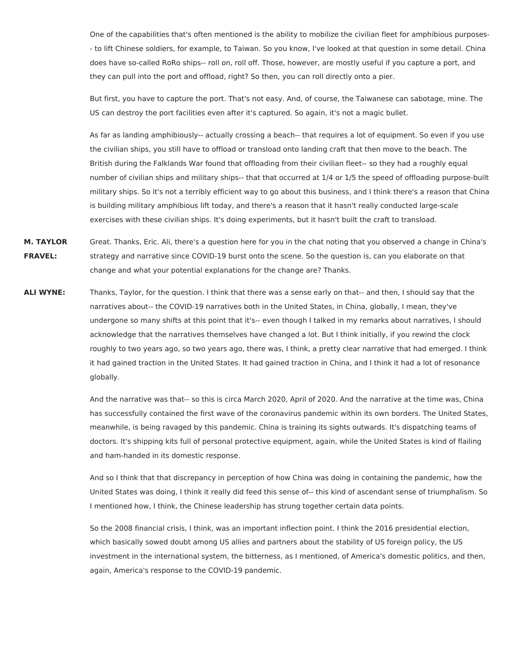One of the capabilities that's often mentioned is the ability to mobilize the civilian fleet for amphibious purposes- - to lift Chinese soldiers, for example, to Taiwan. So you know, I've looked at that question in some detail. China does have so-called RoRo ships-- roll on, roll off. Those, however, are mostly useful if you capture a port, and they can pull into the port and offload, right? So then, you can roll directly onto a pier.

But first, you have to capture the port. That's not easy. And, of course, the Taiwanese can sabotage, mine. The US can destroy the port facilities even after it's captured. So again, it's not a magic bullet.

As far as landing amphibiously-- actually crossing a beach-- that requires a lot of equipment. So even if you use the civilian ships, you still have to offload or transload onto landing craft that then move to the beach. The British during the Falklands War found that offloading from their civilian fleet-- so they had a roughly equal number of civilian ships and military ships-- that that occurred at 1/4 or 1/5 the speed of offloading purpose-built military ships. So it's not a terribly efficient way to go about this business, and I think there's a reason that China is building military amphibious lift today, and there's a reason that it hasn't really conducted large-scale exercises with these civilian ships. It's doing experiments, but it hasn't built the craft to transload.

**M. TAYLOR FRAVEL:** Great. Thanks, Eric. Ali, there's a question here for you in the chat noting that you observed a change in China's strategy and narrative since COVID-19 burst onto the scene. So the question is, can you elaborate on that change and what your potential explanations for the change are? Thanks.

**ALI WYNE:** Thanks, Taylor, for the question. I think that there was a sense early on that-- and then, I should say that the narratives about-- the COVID-19 narratives both in the United States, in China, globally, I mean, they've undergone so many shifts at this point that it's-- even though I talked in my remarks about narratives, I should acknowledge that the narratives themselves have changed a lot. But I think initially, if you rewind the clock roughly to two years ago, so two years ago, there was, I think, a pretty clear narrative that had emerged. I think it had gained traction in the United States. It had gained traction in China, and I think it had a lot of resonance globally.

> And the narrative was that-- so this is circa March 2020, April of 2020. And the narrative at the time was, China has successfully contained the first wave of the coronavirus pandemic within its own borders. The United States, meanwhile, is being ravaged by this pandemic. China is training its sights outwards. It's dispatching teams of doctors. It's shipping kits full of personal protective equipment, again, while the United States is kind of flailing and ham-handed in its domestic response.

> And so I think that that discrepancy in perception of how China was doing in containing the pandemic, how the United States was doing, I think it really did feed this sense of-- this kind of ascendant sense of triumphalism. So I mentioned how, I think, the Chinese leadership has strung together certain data points.

> So the 2008 financial crisis, I think, was an important inflection point. I think the 2016 presidential election, which basically sowed doubt among US allies and partners about the stability of US foreign policy, the US investment in the international system, the bitterness, as I mentioned, of America's domestic politics, and then, again, America's response to the COVID-19 pandemic.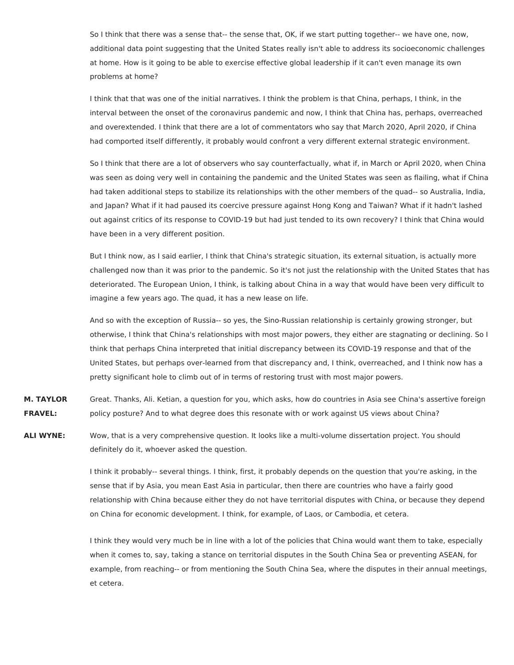So I think that there was a sense that-- the sense that, OK, if we start putting together-- we have one, now, additional data point suggesting that the United States really isn't able to address its socioeconomic challenges at home. How is it going to be able to exercise effective global leadership if it can't even manage its own problems at home?

I think that that was one of the initial narratives. I think the problem is that China, perhaps, I think, in the interval between the onset of the coronavirus pandemic and now, I think that China has, perhaps, overreached and overextended. I think that there are a lot of commentators who say that March 2020, April 2020, if China had comported itself differently, it probably would confront a very different external strategic environment.

So I think that there are a lot of observers who say counterfactually, what if, in March or April 2020, when China was seen as doing very well in containing the pandemic and the United States was seen as flailing, what if China had taken additional steps to stabilize its relationships with the other members of the quad-- so Australia, India, and Japan? What if it had paused its coercive pressure against Hong Kong and Taiwan? What if it hadn't lashed out against critics of its response to COVID-19 but had just tended to its own recovery? I think that China would have been in a very different position.

But I think now, as I said earlier, I think that China's strategic situation, its external situation, is actually more challenged now than it was prior to the pandemic. So it's not just the relationship with the United States that has deteriorated. The European Union, I think, is talking about China in a way that would have been very difficult to imagine a few years ago. The quad, it has a new lease on life.

And so with the exception of Russia-- so yes, the Sino-Russian relationship is certainly growing stronger, but otherwise, I think that China's relationships with most major powers, they either are stagnating or declining. So I think that perhaps China interpreted that initial discrepancy between its COVID-19 response and that of the United States, but perhaps over-learned from that discrepancy and, I think, overreached, and I think now has a pretty significant hole to climb out of in terms of restoring trust with most major powers.

**M. TAYLOR FRAVEL:** Great. Thanks, Ali. Ketian, a question for you, which asks, how do countries in Asia see China's assertive foreign policy posture? And to what degree does this resonate with or work against US views about China?

**ALI WYNE:** Wow, that is a very comprehensive question. It looks like a multi-volume dissertation project. You should definitely do it, whoever asked the question.

> I think it probably-- several things. I think, first, it probably depends on the question that you're asking, in the sense that if by Asia, you mean East Asia in particular, then there are countries who have a fairly good relationship with China because either they do not have territorial disputes with China, or because they depend on China for economic development. I think, for example, of Laos, or Cambodia, et cetera.

> I think they would very much be in line with a lot of the policies that China would want them to take, especially when it comes to, say, taking a stance on territorial disputes in the South China Sea or preventing ASEAN, for example, from reaching-- or from mentioning the South China Sea, where the disputes in their annual meetings, et cetera.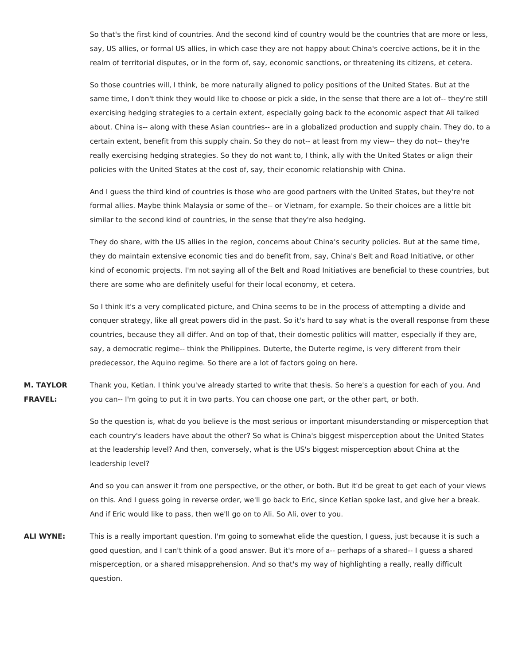So that's the first kind of countries. And the second kind of country would be the countries that are more or less, say, US allies, or formal US allies, in which case they are not happy about China's coercive actions, be it in the realm of territorial disputes, or in the form of, say, economic sanctions, or threatening its citizens, et cetera.

So those countries will, I think, be more naturally aligned to policy positions of the United States. But at the same time, I don't think they would like to choose or pick a side, in the sense that there are a lot of-- they're still exercising hedging strategies to a certain extent, especially going back to the economic aspect that Ali talked about. China is-- along with these Asian countries-- are in a globalized production and supply chain. They do, to a certain extent, benefit from this supply chain. So they do not-- at least from my view-- they do not-- they're really exercising hedging strategies. So they do not want to, I think, ally with the United States or align their policies with the United States at the cost of, say, their economic relationship with China.

And I guess the third kind of countries is those who are good partners with the United States, but they're not formal allies. Maybe think Malaysia or some of the-- or Vietnam, for example. So their choices are a little bit similar to the second kind of countries, in the sense that they're also hedging.

They do share, with the US allies in the region, concerns about China's security policies. But at the same time, they do maintain extensive economic ties and do benefit from, say, China's Belt and Road Initiative, or other kind of economic projects. I'm not saying all of the Belt and Road Initiatives are beneficial to these countries, but there are some who are definitely useful for their local economy, et cetera.

So I think it's a very complicated picture, and China seems to be in the process of attempting a divide and conquer strategy, like all great powers did in the past. So it's hard to say what is the overall response from these countries, because they all differ. And on top of that, their domestic politics will matter, especially if they are, say, a democratic regime-- think the Philippines. Duterte, the Duterte regime, is very different from their predecessor, the Aquino regime. So there are a lot of factors going on here.

**M. TAYLOR FRAVEL:** Thank you, Ketian. I think you've already started to write that thesis. So here's a question for each of you. And you can-- I'm going to put it in two parts. You can choose one part, or the other part, or both.

> So the question is, what do you believe is the most serious or important misunderstanding or misperception that each country's leaders have about the other? So what is China's biggest misperception about the United States at the leadership level? And then, conversely, what is the US's biggest misperception about China at the leadership level?

> And so you can answer it from one perspective, or the other, or both. But it'd be great to get each of your views on this. And I guess going in reverse order, we'll go back to Eric, since Ketian spoke last, and give her a break. And if Eric would like to pass, then we'll go on to Ali. So Ali, over to you.

**ALI WYNE:** This is a really important question. I'm going to somewhat elide the question, I guess, just because it is such a good question, and I can't think of a good answer. But it's more of a-- perhaps of a shared-- I guess a shared misperception, or a shared misapprehension. And so that's my way of highlighting a really, really difficult question.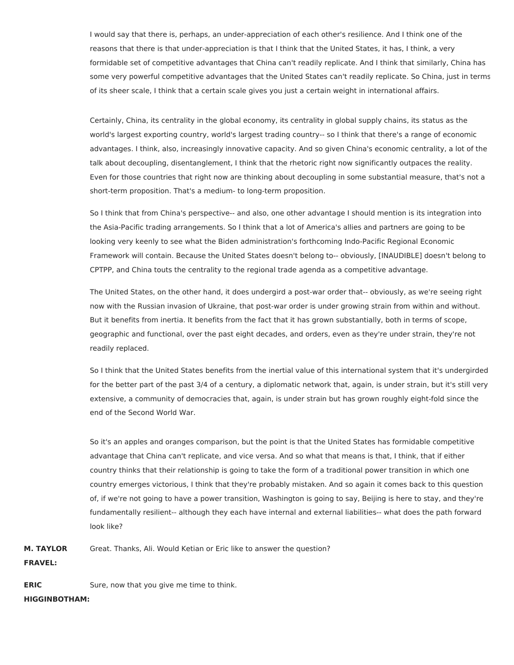I would say that there is, perhaps, an under-appreciation of each other's resilience. And I think one of the reasons that there is that under-appreciation is that I think that the United States, it has, I think, a very formidable set of competitive advantages that China can't readily replicate. And I think that similarly, China has some very powerful competitive advantages that the United States can't readily replicate. So China, just in terms of its sheer scale, I think that a certain scale gives you just a certain weight in international affairs.

Certainly, China, its centrality in the global economy, its centrality in global supply chains, its status as the world's largest exporting country, world's largest trading country-- so I think that there's a range of economic advantages. I think, also, increasingly innovative capacity. And so given China's economic centrality, a lot of the talk about decoupling, disentanglement, I think that the rhetoric right now significantly outpaces the reality. Even for those countries that right now are thinking about decoupling in some substantial measure, that's not a short-term proposition. That's a medium- to long-term proposition.

So I think that from China's perspective-- and also, one other advantage I should mention is its integration into the Asia-Pacific trading arrangements. So I think that a lot of America's allies and partners are going to be looking very keenly to see what the Biden administration's forthcoming Indo-Pacific Regional Economic Framework will contain. Because the United States doesn't belong to-- obviously, [INAUDIBLE] doesn't belong to CPTPP, and China touts the centrality to the regional trade agenda as a competitive advantage.

The United States, on the other hand, it does undergird a post-war order that-- obviously, as we're seeing right now with the Russian invasion of Ukraine, that post-war order is under growing strain from within and without. But it benefits from inertia. It benefits from the fact that it has grown substantially, both in terms of scope, geographic and functional, over the past eight decades, and orders, even as they're under strain, they're not readily replaced.

So I think that the United States benefits from the inertial value of this international system that it's undergirded for the better part of the past 3/4 of a century, a diplomatic network that, again, is under strain, but it's still very extensive, a community of democracies that, again, is under strain but has grown roughly eight-fold since the end of the Second World War.

So it's an apples and oranges comparison, but the point is that the United States has formidable competitive advantage that China can't replicate, and vice versa. And so what that means is that, I think, that if either country thinks that their relationship is going to take the form of a traditional power transition in which one country emerges victorious, I think that they're probably mistaken. And so again it comes back to this question of, if we're not going to have a power transition, Washington is going to say, Beijing is here to stay, and they're fundamentally resilient-- although they each have internal and external liabilities-- what does the path forward look like?

**M. TAYLOR** Great. Thanks, Ali. Would Ketian or Eric like to answer the question?

**FRAVEL:**

**ERIC** Sure, now that you give me time to think.

**HIGGINBOTHAM:**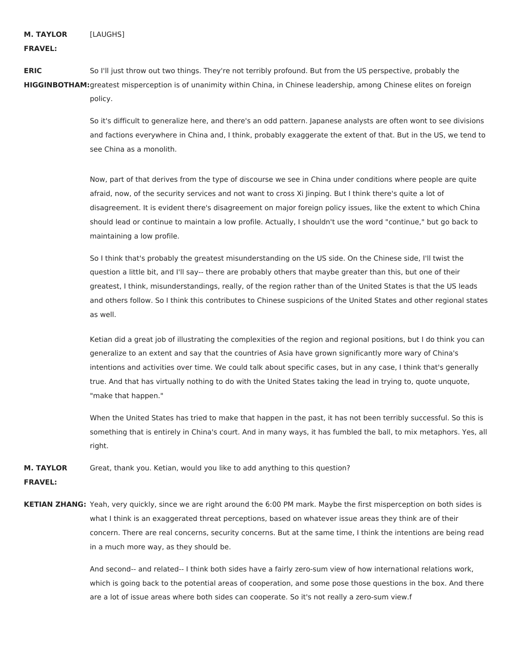**FRAVEL:**

**ERIC HIGGINBOTHAM:** greatest misperception is of unanimity within China, in Chinese leadership, among Chinese elites on foreign So I'll just throw out two things. They're not terribly profound. But from the US perspective, probably the policy.

> So it's difficult to generalize here, and there's an odd pattern. Japanese analysts are often wont to see divisions and factions everywhere in China and, I think, probably exaggerate the extent of that. But in the US, we tend to see China as a monolith.

Now, part of that derives from the type of discourse we see in China under conditions where people are quite afraid, now, of the security services and not want to cross Xi Jinping. But I think there's quite a lot of disagreement. It is evident there's disagreement on major foreign policy issues, like the extent to which China should lead or continue to maintain a low profile. Actually, I shouldn't use the word "continue," but go back to maintaining a low profile.

So I think that's probably the greatest misunderstanding on the US side. On the Chinese side, I'll twist the question a little bit, and I'll say-- there are probably others that maybe greater than this, but one of their greatest, I think, misunderstandings, really, of the region rather than of the United States is that the US leads and others follow. So I think this contributes to Chinese suspicions of the United States and other regional states as well.

Ketian did a great job of illustrating the complexities of the region and regional positions, but I do think you can generalize to an extent and say that the countries of Asia have grown significantly more wary of China's intentions and activities over time. We could talk about specific cases, but in any case, I think that's generally true. And that has virtually nothing to do with the United States taking the lead in trying to, quote unquote, "make that happen."

When the United States has tried to make that happen in the past, it has not been terribly successful. So this is something that is entirely in China's court. And in many ways, it has fumbled the ball, to mix metaphors. Yes, all right.

**M. TAYLOR FRAVEL:** Great, thank you. Ketian, would you like to add anything to this question?

**KETIAN ZHANG:** Yeah, very quickly, since we are right around the 6:00 PM mark. Maybe the first misperception on both sides is what I think is an exaggerated threat perceptions, based on whatever issue areas they think are of their concern. There are real concerns, security concerns. But at the same time, I think the intentions are being read in a much more way, as they should be.

> And second-- and related-- I think both sides have a fairly zero-sum view of how international relations work, which is going back to the potential areas of cooperation, and some pose those questions in the box. And there are a lot of issue areas where both sides can cooperate. So it's not really a zero-sum view.f